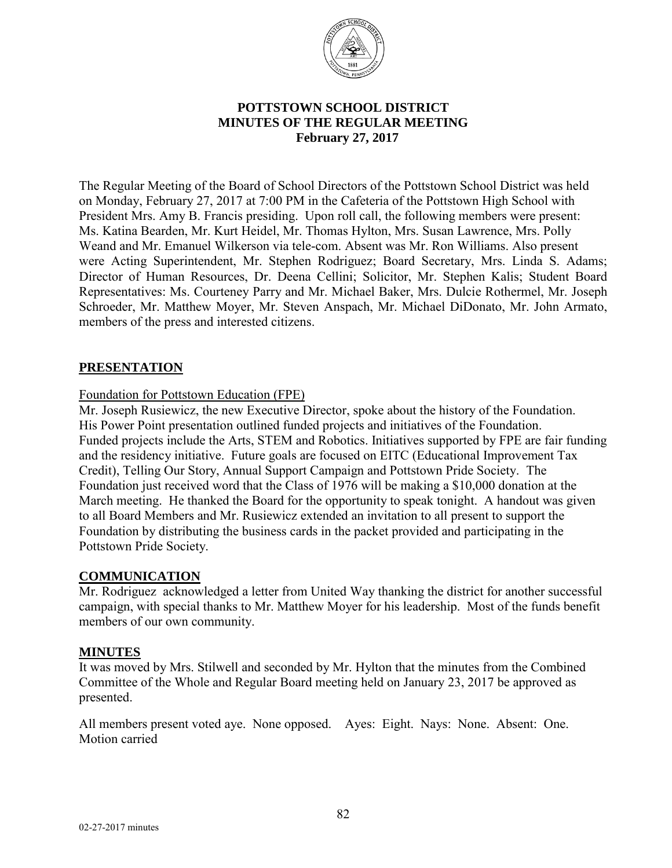

## **POTTSTOWN SCHOOL DISTRICT MINUTES OF THE REGULAR MEETING**  **February 27, 2017**

The Regular Meeting of the Board of School Directors of the Pottstown School District was held on Monday, February 27, 2017 at 7:00 PM in the Cafeteria of the Pottstown High School with President Mrs. Amy B. Francis presiding. Upon roll call, the following members were present: Ms. Katina Bearden, Mr. Kurt Heidel, Mr. Thomas Hylton, Mrs. Susan Lawrence, Mrs. Polly Weand and Mr. Emanuel Wilkerson via tele-com. Absent was Mr. Ron Williams. Also present were Acting Superintendent, Mr. Stephen Rodriguez; Board Secretary, Mrs. Linda S. Adams; Director of Human Resources, Dr. Deena Cellini; Solicitor, Mr. Stephen Kalis; Student Board Representatives: Ms. Courteney Parry and Mr. Michael Baker, Mrs. Dulcie Rothermel, Mr. Joseph Schroeder, Mr. Matthew Moyer, Mr. Steven Anspach, Mr. Michael DiDonato, Mr. John Armato, members of the press and interested citizens.

#### **PRESENTATION**

#### Foundation for Pottstown Education (FPE)

Mr. Joseph Rusiewicz, the new Executive Director, spoke about the history of the Foundation. His Power Point presentation outlined funded projects and initiatives of the Foundation. Funded projects include the Arts, STEM and Robotics. Initiatives supported by FPE are fair funding and the residency initiative. Future goals are focused on EITC (Educational Improvement Tax Credit), Telling Our Story, Annual Support Campaign and Pottstown Pride Society. The Foundation just received word that the Class of 1976 will be making a \$10,000 donation at the March meeting. He thanked the Board for the opportunity to speak tonight. A handout was given to all Board Members and Mr. Rusiewicz extended an invitation to all present to support the Foundation by distributing the business cards in the packet provided and participating in the Pottstown Pride Society.

#### **COMMUNICATION**

Mr. Rodriguez acknowledged a letter from United Way thanking the district for another successful campaign, with special thanks to Mr. Matthew Moyer for his leadership. Most of the funds benefit members of our own community.

#### **MINUTES**

It was moved by Mrs. Stilwell and seconded by Mr. Hylton that the minutes from the Combined Committee of the Whole and Regular Board meeting held on January 23, 2017 be approved as presented.

All members present voted aye. None opposed. Ayes: Eight. Nays: None. Absent: One. Motion carried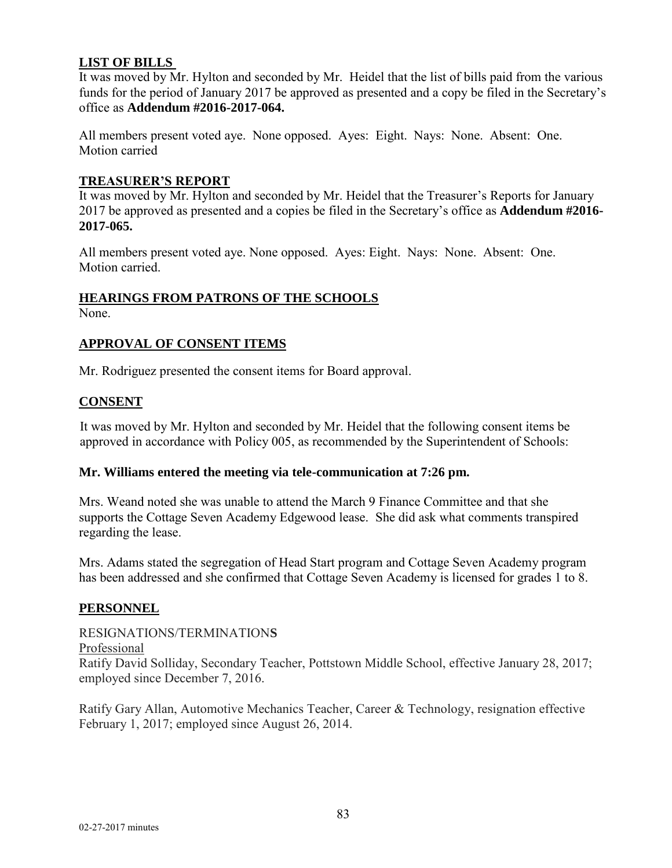## **LIST OF BILLS**

It was moved by Mr. Hylton and seconded by Mr. Heidel that the list of bills paid from the various funds for the period of January 2017 be approved as presented and a copy be filed in the Secretary's office as **Addendum #2016-2017-064.** 

All members present voted aye. None opposed. Ayes: Eight. Nays: None. Absent: One. Motion carried

#### **TREASURER'S REPORT**

It was moved by Mr. Hylton and seconded by Mr. Heidel that the Treasurer's Reports for January 2017 be approved as presented and a copies be filed in the Secretary's office as **Addendum #2016- 2017-065.** 

All members present voted aye. None opposed. Ayes: Eight. Nays: None. Absent: One. Motion carried.

# **HEARINGS FROM PATRONS OF THE SCHOOLS**

None.

## **APPROVAL OF CONSENT ITEMS**

Mr. Rodriguez presented the consent items for Board approval.

#### **CONSENT**

It was moved by Mr. Hylton and seconded by Mr. Heidel that the following consent items be approved in accordance with Policy 005, as recommended by the Superintendent of Schools:

#### **Mr. Williams entered the meeting via tele-communication at 7:26 pm.**

Mrs. Weand noted she was unable to attend the March 9 Finance Committee and that she supports the Cottage Seven Academy Edgewood lease. She did ask what comments transpired regarding the lease.

Mrs. Adams stated the segregation of Head Start program and Cottage Seven Academy program has been addressed and she confirmed that Cottage Seven Academy is licensed for grades 1 to 8.

## **PERSONNEL**

#### RESIGNATIONS/TERMINATION**S**

Professional

Ratify David Solliday, Secondary Teacher, Pottstown Middle School, effective January 28, 2017; employed since December 7, 2016.

Ratify Gary Allan, Automotive Mechanics Teacher, Career & Technology, resignation effective February 1, 2017; employed since August 26, 2014.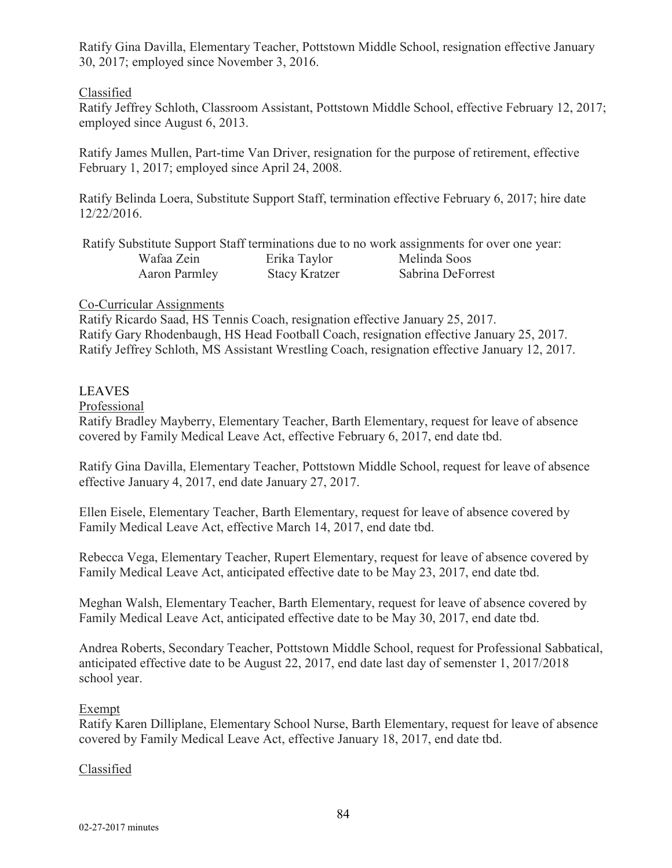Ratify Gina Davilla, Elementary Teacher, Pottstown Middle School, resignation effective January 30, 2017; employed since November 3, 2016.

## Classified

Ratify Jeffrey Schloth, Classroom Assistant, Pottstown Middle School, effective February 12, 2017; employed since August 6, 2013.

Ratify James Mullen, Part-time Van Driver, resignation for the purpose of retirement, effective February 1, 2017; employed since April 24, 2008.

Ratify Belinda Loera, Substitute Support Staff, termination effective February 6, 2017; hire date 12/22/2016.

|               |                      | Ratify Substitute Support Staff terminations due to no work assignments for over one year: |
|---------------|----------------------|--------------------------------------------------------------------------------------------|
| Wafaa Zein    | Erika Taylor         | Melinda Soos                                                                               |
| Aaron Parmley | <b>Stacy Kratzer</b> | Sabrina DeForrest                                                                          |

## Co-Curricular Assignments

Ratify Ricardo Saad, HS Tennis Coach, resignation effective January 25, 2017. Ratify Gary Rhodenbaugh, HS Head Football Coach, resignation effective January 25, 2017. Ratify Jeffrey Schloth, MS Assistant Wrestling Coach, resignation effective January 12, 2017.

# LEAVES

## Professional

Ratify Bradley Mayberry, Elementary Teacher, Barth Elementary, request for leave of absence covered by Family Medical Leave Act, effective February 6, 2017, end date tbd.

Ratify Gina Davilla, Elementary Teacher, Pottstown Middle School, request for leave of absence effective January 4, 2017, end date January 27, 2017.

Ellen Eisele, Elementary Teacher, Barth Elementary, request for leave of absence covered by Family Medical Leave Act, effective March 14, 2017, end date tbd.

Rebecca Vega, Elementary Teacher, Rupert Elementary, request for leave of absence covered by Family Medical Leave Act, anticipated effective date to be May 23, 2017, end date tbd.

Meghan Walsh, Elementary Teacher, Barth Elementary, request for leave of absence covered by Family Medical Leave Act, anticipated effective date to be May 30, 2017, end date tbd.

Andrea Roberts, Secondary Teacher, Pottstown Middle School, request for Professional Sabbatical, anticipated effective date to be August 22, 2017, end date last day of semenster 1, 2017/2018 school year.

## Exempt

Ratify Karen Dilliplane, Elementary School Nurse, Barth Elementary, request for leave of absence covered by Family Medical Leave Act, effective January 18, 2017, end date tbd.

## Classified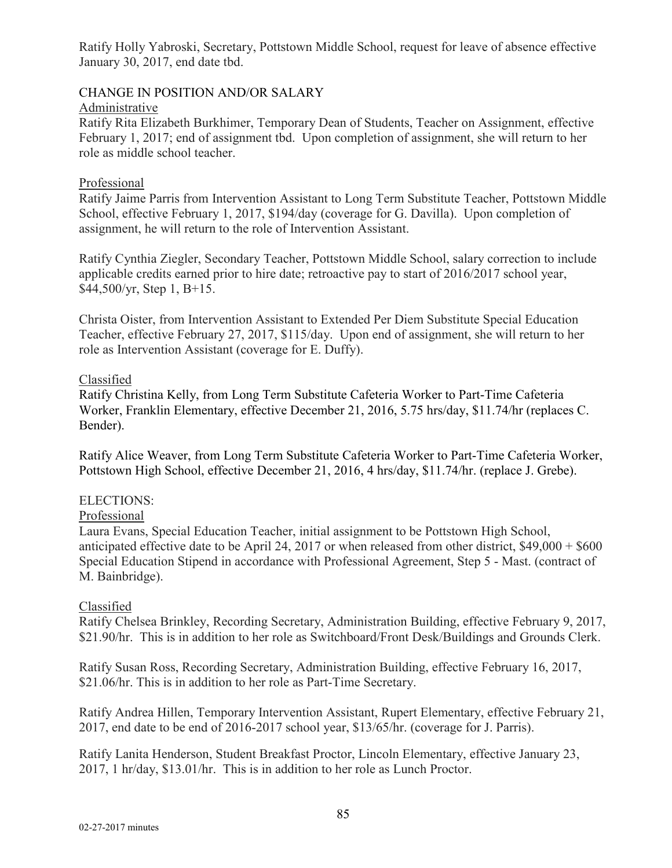Ratify Holly Yabroski, Secretary, Pottstown Middle School, request for leave of absence effective January 30, 2017, end date tbd.

## CHANGE IN POSITION AND/OR SALARY

#### Administrative

Ratify Rita Elizabeth Burkhimer, Temporary Dean of Students, Teacher on Assignment, effective February 1, 2017; end of assignment tbd. Upon completion of assignment, she will return to her role as middle school teacher.

## Professional

Ratify Jaime Parris from Intervention Assistant to Long Term Substitute Teacher, Pottstown Middle School, effective February 1, 2017, \$194/day (coverage for G. Davilla). Upon completion of assignment, he will return to the role of Intervention Assistant.

Ratify Cynthia Ziegler, Secondary Teacher, Pottstown Middle School, salary correction to include applicable credits earned prior to hire date; retroactive pay to start of 2016/2017 school year, \$44,500/yr, Step 1, B+15.

Christa Oister, from Intervention Assistant to Extended Per Diem Substitute Special Education Teacher, effective February 27, 2017, \$115/day. Upon end of assignment, she will return to her role as Intervention Assistant (coverage for E. Duffy).

## Classified

Ratify Christina Kelly, from Long Term Substitute Cafeteria Worker to Part-Time Cafeteria Worker, Franklin Elementary, effective December 21, 2016, 5.75 hrs/day, \$11.74/hr (replaces C. Bender).

Ratify Alice Weaver, from Long Term Substitute Cafeteria Worker to Part-Time Cafeteria Worker, Pottstown High School, effective December 21, 2016, 4 hrs/day, \$11.74/hr. (replace J. Grebe).

## ELECTIONS:

#### Professional

Laura Evans, Special Education Teacher, initial assignment to be Pottstown High School, anticipated effective date to be April 24, 2017 or when released from other district, \$49,000 + \$600 Special Education Stipend in accordance with Professional Agreement, Step 5 - Mast. (contract of M. Bainbridge).

#### Classified

Ratify Chelsea Brinkley, Recording Secretary, Administration Building, effective February 9, 2017, \$21.90/hr. This is in addition to her role as Switchboard/Front Desk/Buildings and Grounds Clerk.

Ratify Susan Ross, Recording Secretary, Administration Building, effective February 16, 2017, \$21.06/hr. This is in addition to her role as Part-Time Secretary.

Ratify Andrea Hillen, Temporary Intervention Assistant, Rupert Elementary, effective February 21, 2017, end date to be end of 2016-2017 school year, \$13/65/hr. (coverage for J. Parris).

Ratify Lanita Henderson, Student Breakfast Proctor, Lincoln Elementary, effective January 23, 2017, 1 hr/day, \$13.01/hr. This is in addition to her role as Lunch Proctor.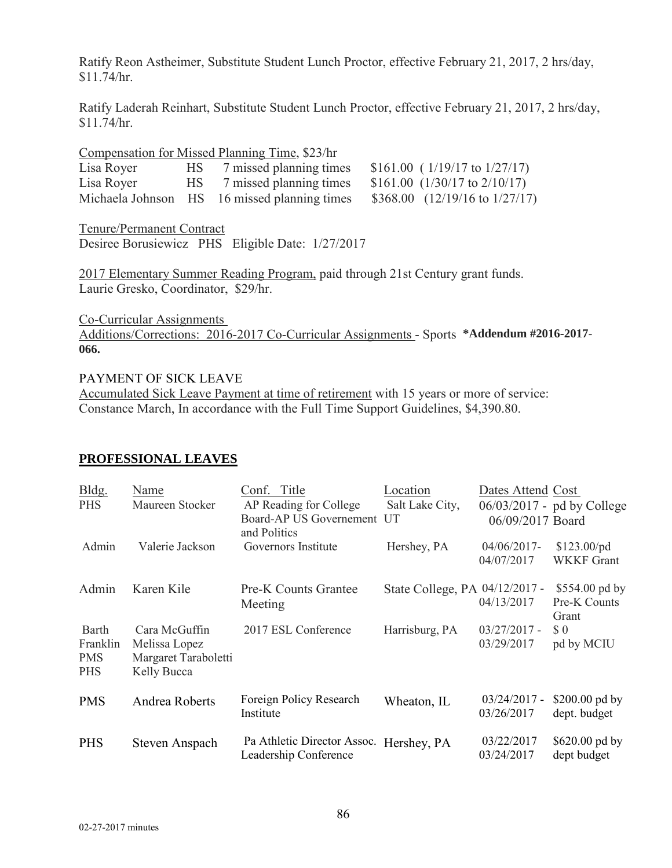Ratify Reon Astheimer, Substitute Student Lunch Proctor, effective February 21, 2017, 2 hrs/day, \$11.74/hr.

Ratify Laderah Reinhart, Substitute Student Lunch Proctor, effective February 21, 2017, 2 hrs/day, \$11.74/hr.

|            |      | Compensation for Missed Planning Time, \$23/hr |                                      |
|------------|------|------------------------------------------------|--------------------------------------|
| Lisa Royer | HS — | 7 missed planning times                        | $$161.00$ ( $1/19/17$ to $1/27/17$ ) |
| Lisa Royer |      | HS 7 missed planning times                     | \$161.00 $(1/30/17$ to $2/10/17)$    |
|            |      | Michaela Johnson HS 16 missed planning times   | \$368.00 $(12/19/16$ to $1/27/17)$   |

Tenure/Permanent Contract Desiree Borusiewicz PHS Eligible Date: 1/27/2017

2017 Elementary Summer Reading Program, paid through 21st Century grant funds. Laurie Gresko, Coordinator, \$29/hr.

Co-Curricular Assignments Additions/Corrections: 2016-2017 Co-Curricular Assignments - Sports **\*Addendum #2016-2017**- **066.**

#### PAYMENT OF SICK LEAVE

Accumulated Sick Leave Payment at time of retirement with 15 years or more of service: Constance March, In accordance with the Full Time Support Guidelines, \$4,390.80.

| Bldg.<br><b>PHS</b>                                  | Name<br>Maureen Stocker                                               | Conf. Title<br>AP Reading for College<br>Board-AP US Governement UT<br>and Politics | Location<br>Salt Lake City,    | Dates Attend Cost<br>06/09/2017 Board | 06/03/2017 - pd by College                |
|------------------------------------------------------|-----------------------------------------------------------------------|-------------------------------------------------------------------------------------|--------------------------------|---------------------------------------|-------------------------------------------|
| Admin                                                | Valerie Jackson                                                       | Governors Institute                                                                 | Hershey, PA                    | $04/06/2017$ -<br>04/07/2017          | $$123.00$ /pd<br><b>WKKF</b> Grant        |
| Admin                                                | Karen Kile                                                            | <b>Pre-K Counts Grantee</b><br>Meeting                                              | State College, PA 04/12/2017 - | 04/13/2017                            | \$554.00 pd by<br>Pre-K Counts<br>Grant   |
| <b>Barth</b><br>Franklin<br><b>PMS</b><br><b>PHS</b> | Cara McGuffin<br>Melissa Lopez<br>Margaret Taraboletti<br>Kelly Bucca | 2017 ESL Conference                                                                 | Harrisburg, PA                 | $03/27/2017 -$<br>03/29/2017          | $\boldsymbol{\mathsf{S}}$ 0<br>pd by MCIU |
| <b>PMS</b>                                           | Andrea Roberts                                                        | Foreign Policy Research<br>Institute                                                | Wheaton, IL                    | $03/24/2017 -$<br>03/26/2017          | \$200.00 pd by<br>dept. budget            |
| <b>PHS</b>                                           | Steven Anspach                                                        | Pa Athletic Director Assoc. Hershey, PA<br>Leadership Conference                    |                                | 03/22/2017<br>03/24/2017              | \$620.00 pd by<br>dept budget             |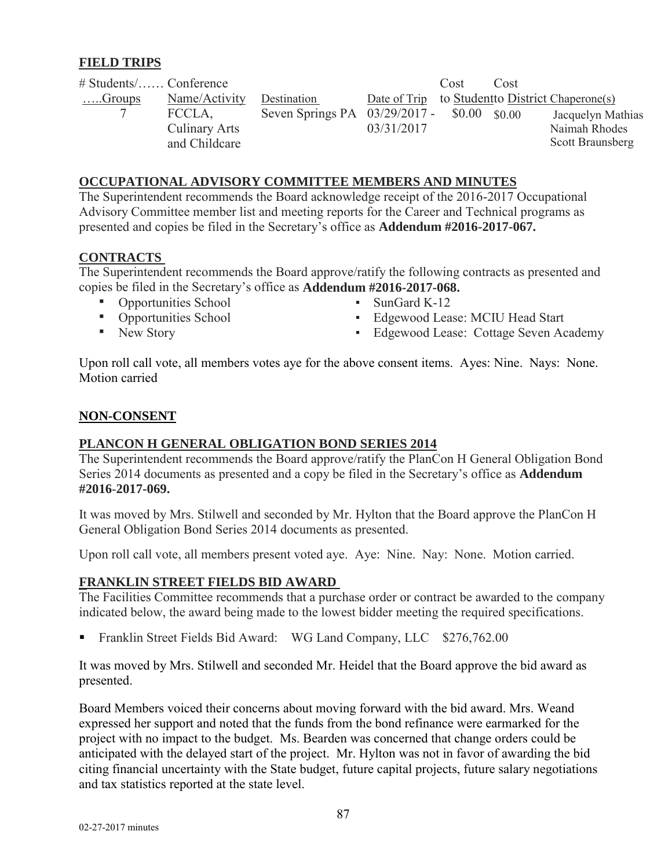## **FIELD TRIPS**

| $\#$ Students/ Conference |                      |                                             |            | Cost | Cost |                                                  |
|---------------------------|----------------------|---------------------------------------------|------------|------|------|--------------------------------------------------|
| $$ Groups                 | Name/Activity        | Destination                                 |            |      |      | Date of Trip to Student to District Chaperone(s) |
|                           | FCCLA.               | Seven Springs PA 03/29/2017 - \$0.00 \$0.00 |            |      |      | Jacquelyn Mathias                                |
|                           | <b>Culinary Arts</b> |                                             | 03/31/2017 |      |      | Naimah Rhodes                                    |
|                           | and Childcare        |                                             |            |      |      | Scott Braunsberg                                 |

#### **OCCUPATIONAL ADVISORY COMMITTEE MEMBERS AND MINUTES**

The Superintendent recommends the Board acknowledge receipt of the 2016-2017 Occupational Advisory Committee member list and meeting reports for the Career and Technical programs as presented and copies be filed in the Secretary's office as **Addendum #2016-2017-067.** 

#### **CONTRACTS**

The Superintendent recommends the Board approve/ratify the following contracts as presented and copies be filed in the Secretary's office as **Addendum #2016-2017-068.** 

- Opportunities School SunGard K-12
- 
- 
- Opportunities School Edgewood Lease: MCIU Head Start<br>• Edgewood Lease: Cottage Seven Ac
	-

▪ Edgewood Lease: Cottage Seven Academy

Upon roll call vote, all members votes aye for the above consent items. Ayes: Nine. Nays: None. Motion carried

#### **NON-CONSENT**

## **PLANCON H GENERAL OBLIGATION BOND SERIES 2014**

The Superintendent recommends the Board approve/ratify the PlanCon H General Obligation Bond Series 2014 documents as presented and a copy be filed in the Secretary's office as **Addendum #2016**-**2017-069.** 

It was moved by Mrs. Stilwell and seconded by Mr. Hylton that the Board approve the PlanCon H General Obligation Bond Series 2014 documents as presented.

Upon roll call vote, all members present voted aye. Aye: Nine. Nay: None. Motion carried.

## **FRANKLIN STREET FIELDS BID AWARD**

The Facilities Committee recommends that a purchase order or contract be awarded to the company indicated below, the award being made to the lowest bidder meeting the required specifications.

Franklin Street Fields Bid Award: WG Land Company, LLC \$276,762.00

It was moved by Mrs. Stilwell and seconded Mr. Heidel that the Board approve the bid award as presented.

Board Members voiced their concerns about moving forward with the bid award. Mrs. Weand expressed her support and noted that the funds from the bond refinance were earmarked for the project with no impact to the budget. Ms. Bearden was concerned that change orders could be anticipated with the delayed start of the project. Mr. Hylton was not in favor of awarding the bid citing financial uncertainty with the State budget, future capital projects, future salary negotiations and tax statistics reported at the state level.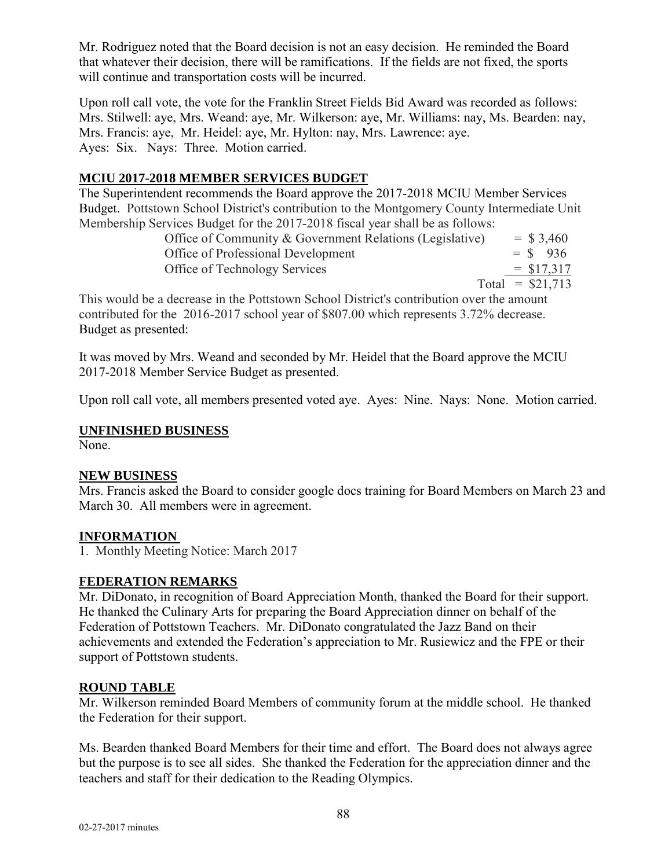Mr. Rodriguez noted that the Board decision is not an easy decision. He reminded the Board that whatever their decision, there will be ramifications. If the fields are not fixed, the sports will continue and transportation costs will be incurred.

Upon roll call vote, the vote for the Franklin Street Fields Bid Award was recorded as follows: Mrs. Stilwell: aye, Mrs. Weand: aye, Mr. Wilkerson: aye, Mr. Williams: nay, Ms. Bearden: nay, Mrs. Francis: aye, Mr. Heidel: aye, Mr. Hylton: nay, Mrs. Lawrence: aye. Ayes: Six. Nays: Three. Motion carried.

# **MCIU 2017-2018 MEMBER SERVICES BUDGET**

The Superintendent recommends the Board approve the 2017-2018 MCIU Member Services Budget. Pottstown School District's contribution to the Montgomery County Intermediate Unit Membership Services Budget for the 2017-2018 fiscal year shall be as follows:

| Office of Community & Government Relations (Legislative) |                   | $=$ \$ 3,460 |
|----------------------------------------------------------|-------------------|--------------|
| Office of Professional Development                       | $=$ \$ 936        |              |
| Office of Technology Services                            |                   | $=$ \$17,317 |
|                                                          | Total = $$21,713$ |              |

This would be a decrease in the Pottstown School District's contribution over the amount contributed for the 2016-2017 school year of \$807.00 which represents 3.72% decrease. Budget as presented:

It was moved by Mrs. Weand and seconded by Mr. Heidel that the Board approve the MCIU 2017-2018 Member Service Budget as presented.

Upon roll call vote, all members presented voted aye. Ayes: Nine. Nays: None. Motion carried.

#### **UNFINISHED BUSINESS**

None.

## **NEW BUSINESS**

Mrs. Francis asked the Board to consider google docs training for Board Members on March 23 and March 30. All members were in agreement.

## **INFORMATION**

1. Monthly Meeting Notice: March 2017

## **FEDERATION REMARKS**

Mr. DiDonato, in recognition of Board Appreciation Month, thanked the Board for their support. He thanked the Culinary Arts for preparing the Board Appreciation dinner on behalf of the Federation of Pottstown Teachers. Mr. DiDonato congratulated the Jazz Band on their achievements and extended the Federation's appreciation to Mr. Rusiewicz and the FPE or their support of Pottstown students.

#### **ROUND TABLE**

Mr. Wilkerson reminded Board Members of community forum at the middle school. He thanked the Federation for their support.

Ms. Bearden thanked Board Members for their time and effort. The Board does not always agree but the purpose is to see all sides. She thanked the Federation for the appreciation dinner and the teachers and staff for their dedication to the Reading Olympics.